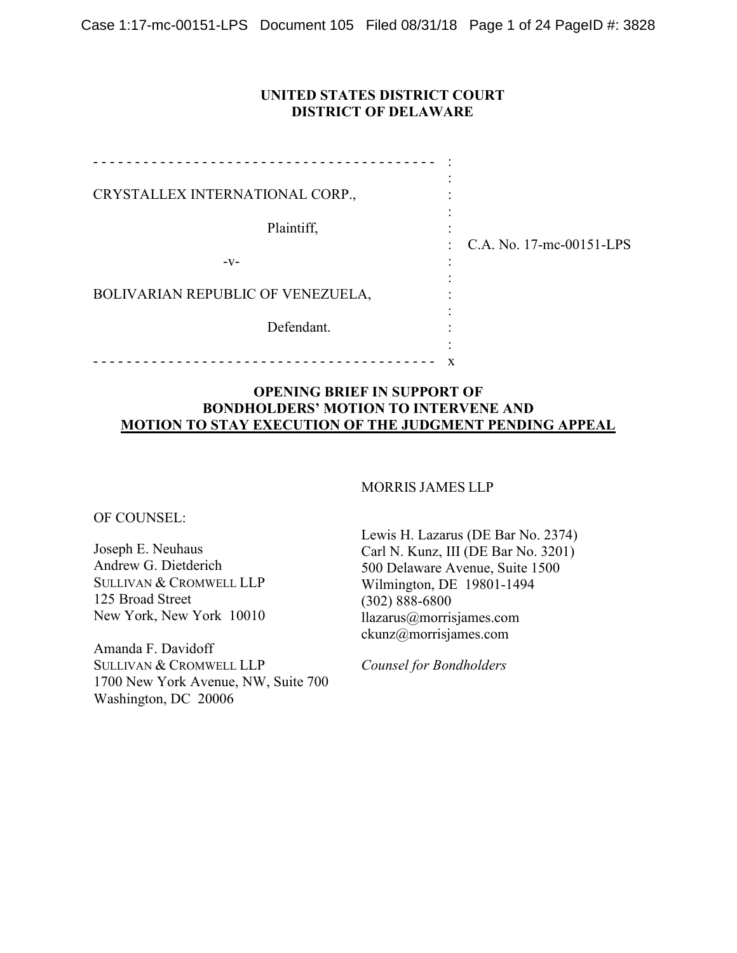## **UNITED STATES DISTRICT COURT DISTRICT OF DELAWARE**

| CRYSTALLEX INTERNATIONAL CORP.,   |   |                              |
|-----------------------------------|---|------------------------------|
| Plaintiff,                        |   | : $C.A. No. 17-mc-00151-LPS$ |
| $-V-$                             |   |                              |
| BOLIVARIAN REPUBLIC OF VENEZUELA, |   |                              |
| Defendant.                        |   |                              |
|                                   | x |                              |

## **OPENING BRIEF IN SUPPORT OF BONDHOLDERS' MOTION TO INTERVENE AND MOTION TO STAY EXECUTION OF THE JUDGMENT PENDING APPEAL**

#### MORRIS JAMES LLP

OF COUNSEL:

Joseph E. Neuhaus Andrew G. Dietderich SULLIVAN & CROMWELL LLP 125 Broad Street New York, New York 10010

Amanda F. Davidoff SULLIVAN & CROMWELL LLP 1700 New York Avenue, NW, Suite 700 Washington, DC 20006

Lewis H. Lazarus (DE Bar No. 2374) Carl N. Kunz, III (DE Bar No. 3201) 500 Delaware Avenue, Suite 1500 Wilmington, DE 19801-1494 (302) 888-6800 llazarus@morrisjames.com ckunz@morrisjames.com

*Counsel for Bondholders*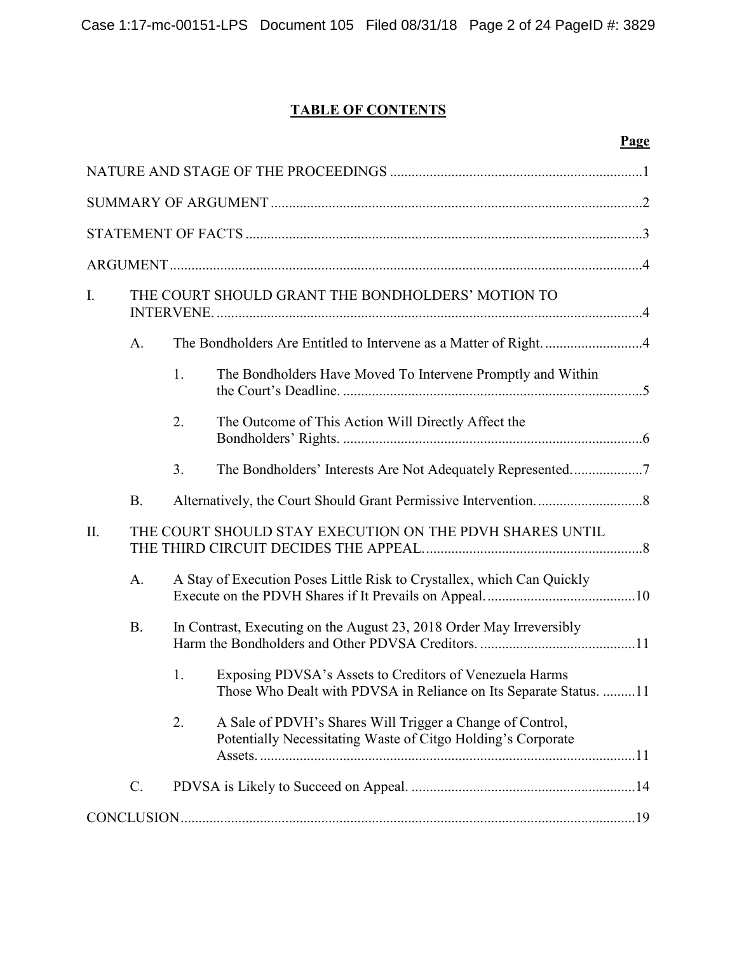# **TABLE OF CONTENTS**

| I.  |           | THE COURT SHOULD GRANT THE BONDHOLDERS' MOTION TO |                                                                                                                              |  |  |  |  |
|-----|-----------|---------------------------------------------------|------------------------------------------------------------------------------------------------------------------------------|--|--|--|--|
|     | A.        |                                                   | The Bondholders Are Entitled to Intervene as a Matter of Right4                                                              |  |  |  |  |
|     |           | 1.                                                | The Bondholders Have Moved To Intervene Promptly and Within                                                                  |  |  |  |  |
|     |           | 2.                                                | The Outcome of This Action Will Directly Affect the                                                                          |  |  |  |  |
|     |           | 3.                                                | The Bondholders' Interests Are Not Adequately Represented7                                                                   |  |  |  |  |
|     | <b>B.</b> |                                                   |                                                                                                                              |  |  |  |  |
| II. |           |                                                   | THE COURT SHOULD STAY EXECUTION ON THE PDVH SHARES UNTIL                                                                     |  |  |  |  |
|     | A.        |                                                   | A Stay of Execution Poses Little Risk to Crystallex, which Can Quickly                                                       |  |  |  |  |
|     | <b>B.</b> |                                                   | In Contrast, Executing on the August 23, 2018 Order May Irreversibly                                                         |  |  |  |  |
|     |           | 1.                                                | Exposing PDVSA's Assets to Creditors of Venezuela Harms<br>Those Who Dealt with PDVSA in Reliance on Its Separate Status. 11 |  |  |  |  |
|     |           | 2.                                                | A Sale of PDVH's Shares Will Trigger a Change of Control,<br>Potentially Necessitating Waste of Citgo Holding's Corporate    |  |  |  |  |
|     | C.        |                                                   |                                                                                                                              |  |  |  |  |
|     |           |                                                   |                                                                                                                              |  |  |  |  |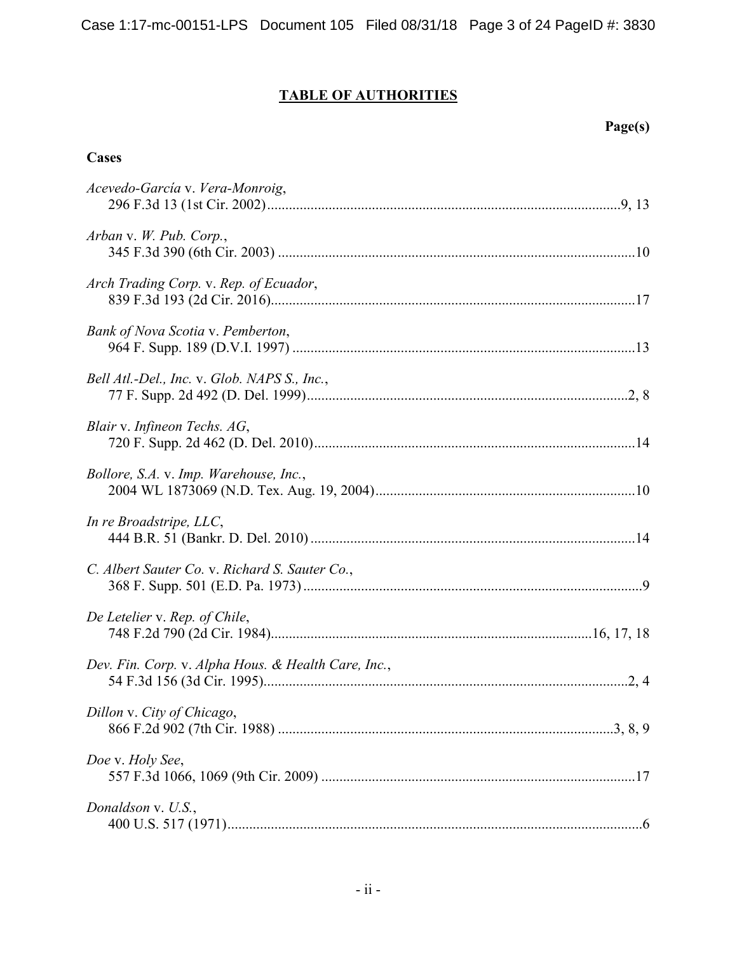# **TABLE OF AUTHORITIES**

## **Page(s)**

## **Cases**

| Acevedo-García v. Vera-Monroig,                     |
|-----------------------------------------------------|
| Arban v. W. Pub. Corp.,                             |
| Arch Trading Corp. v. Rep. of Ecuador,              |
| Bank of Nova Scotia v. Pemberton,                   |
| Bell Atl.-Del., Inc. v. Glob. NAPS S., Inc.,        |
| Blair v. Infineon Techs. AG,                        |
| Bollore, S.A. v. Imp. Warehouse, Inc.,              |
| In re Broadstripe, LLC,                             |
| C. Albert Sauter Co. v. Richard S. Sauter Co.,      |
| De Letelier v. Rep. of Chile,                       |
| Dev. Fin. Corp. v. Alpha Hous. & Health Care, Inc., |
| Dillon v. City of Chicago,                          |
| Doe v. Holy See,                                    |
| Donaldson v. U.S.,                                  |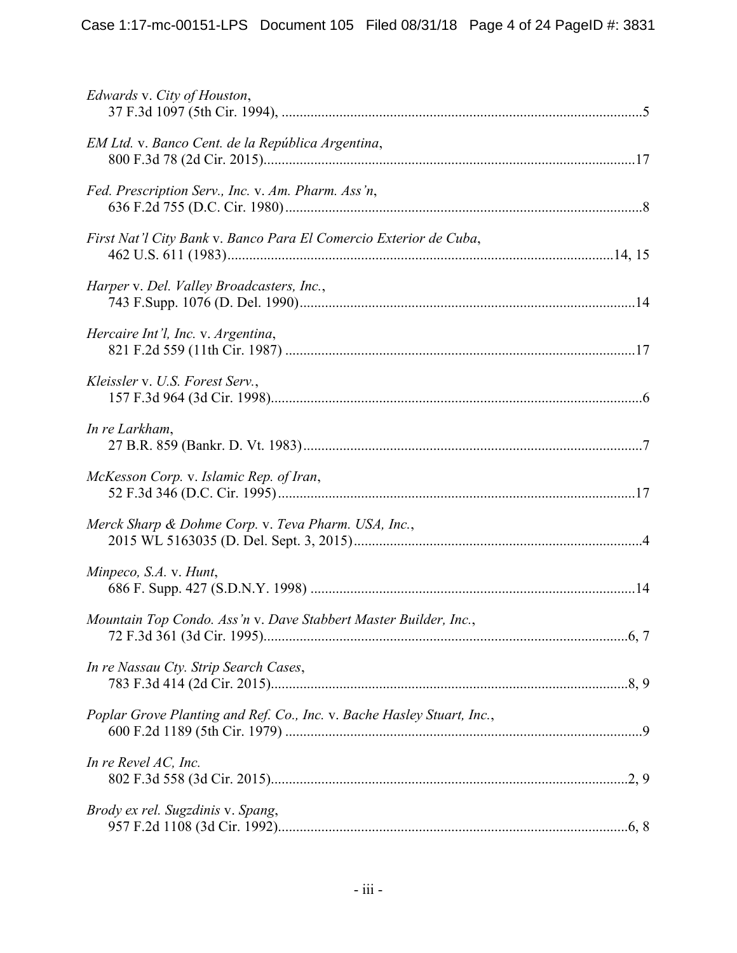| Edwards v. City of Houston,                                            |
|------------------------------------------------------------------------|
| EM Ltd. v. Banco Cent. de la República Argentina,                      |
| Fed. Prescription Serv., Inc. v. Am. Pharm. Ass'n,                     |
| First Nat'l City Bank v. Banco Para El Comercio Exterior de Cuba,      |
| Harper v. Del. Valley Broadcasters, Inc.,                              |
| Hercaire Int'l, Inc. v. Argentina,                                     |
| Kleissler v. U.S. Forest Serv.,                                        |
| In re Larkham,                                                         |
| McKesson Corp. v. Islamic Rep. of Iran,                                |
| Merck Sharp & Dohme Corp. v. Teva Pharm. USA, Inc.,                    |
| Minpeco, S.A. v. Hunt,                                                 |
| Mountain Top Condo. Ass'n v. Dave Stabbert Master Builder, Inc.,       |
| In re Nassau Cty. Strip Search Cases,                                  |
| Poplar Grove Planting and Ref. Co., Inc. v. Bache Hasley Stuart, Inc., |
| In re Revel AC, Inc.                                                   |
| Brody ex rel. Sugzdinis v. Spang,                                      |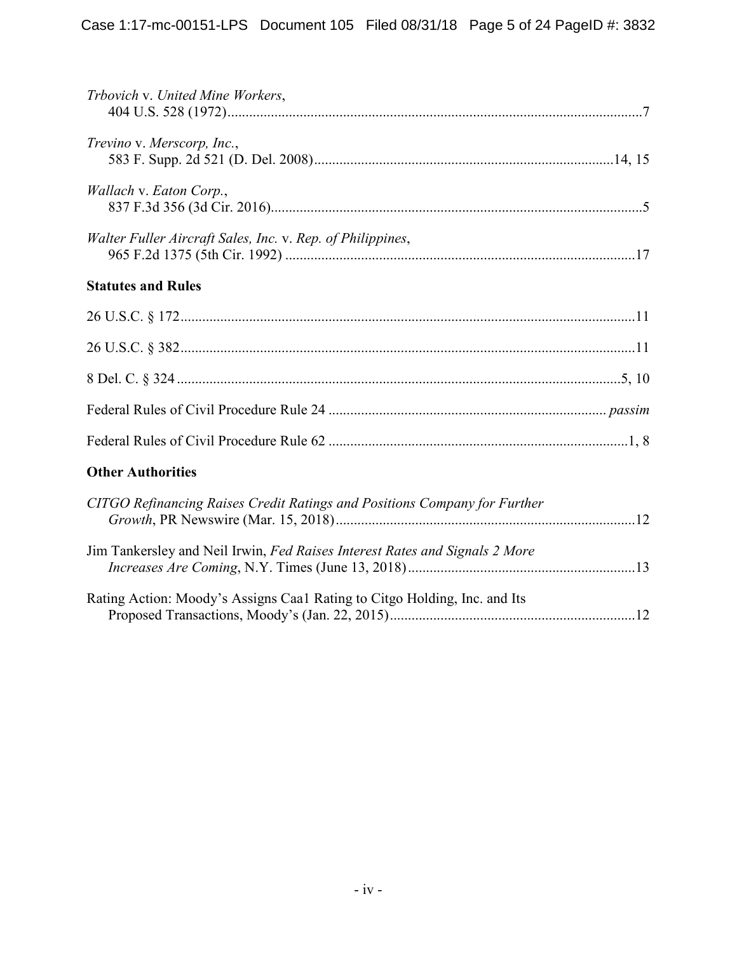| Trbovich v. United Mine Workers,                                            |
|-----------------------------------------------------------------------------|
| Trevino v. Merscorp, Inc.,                                                  |
| Wallach v. Eaton Corp.,                                                     |
| Walter Fuller Aircraft Sales, Inc. v. Rep. of Philippines,                  |
| <b>Statutes and Rules</b>                                                   |
|                                                                             |
|                                                                             |
|                                                                             |
|                                                                             |
|                                                                             |
| <b>Other Authorities</b>                                                    |
| CITGO Refinancing Raises Credit Ratings and Positions Company for Further   |
| Jim Tankersley and Neil Irwin, Fed Raises Interest Rates and Signals 2 More |
| Rating Action: Moody's Assigns Caal Rating to Citgo Holding, Inc. and Its   |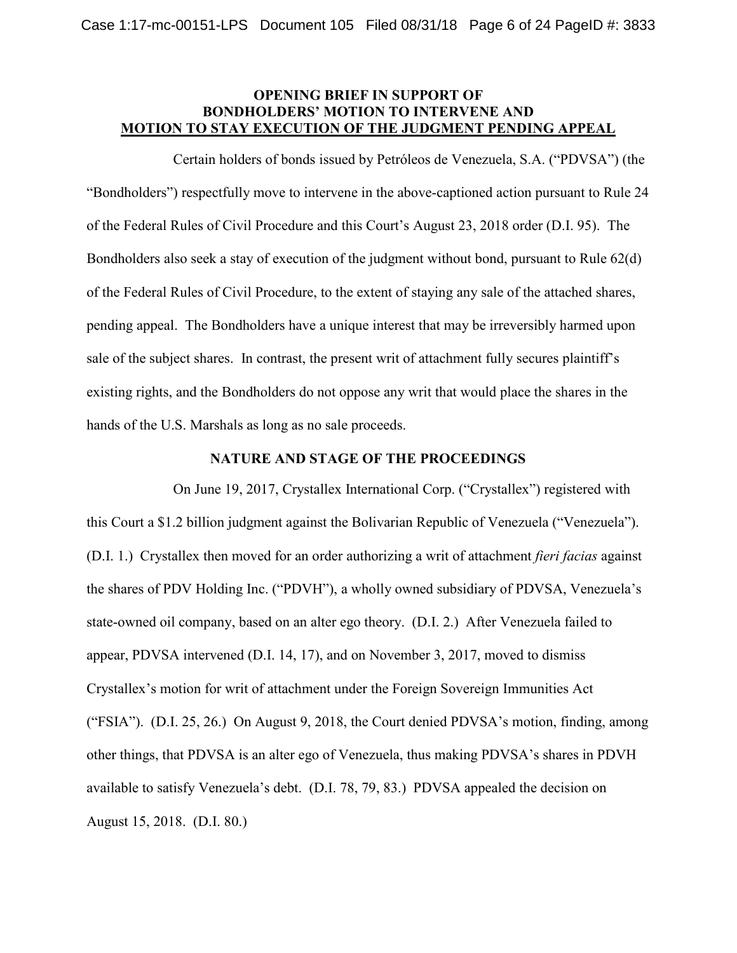## **OPENING BRIEF IN SUPPORT OF BONDHOLDERS' MOTION TO INTERVENE AND MOTION TO STAY EXECUTION OF THE JUDGMENT PENDING APPEAL**

Certain holders of bonds issued by Petróleos de Venezuela, S.A. ("PDVSA") (the "Bondholders") respectfully move to intervene in the above-captioned action pursuant to Rule 24 of the Federal Rules of Civil Procedure and this Court's August 23, 2018 order (D.I. 95). The Bondholders also seek a stay of execution of the judgment without bond, pursuant to Rule 62(d) of the Federal Rules of Civil Procedure, to the extent of staying any sale of the attached shares, pending appeal. The Bondholders have a unique interest that may be irreversibly harmed upon sale of the subject shares. In contrast, the present writ of attachment fully secures plaintiff's existing rights, and the Bondholders do not oppose any writ that would place the shares in the hands of the U.S. Marshals as long as no sale proceeds.

#### **NATURE AND STAGE OF THE PROCEEDINGS**

On June 19, 2017, Crystallex International Corp. ("Crystallex") registered with this Court a \$1.2 billion judgment against the Bolivarian Republic of Venezuela ("Venezuela"). (D.I. 1.) Crystallex then moved for an order authorizing a writ of attachment *fieri facias* against the shares of PDV Holding Inc. ("PDVH"), a wholly owned subsidiary of PDVSA, Venezuela's state-owned oil company, based on an alter ego theory. (D.I. 2.) After Venezuela failed to appear, PDVSA intervened (D.I. 14, 17), and on November 3, 2017, moved to dismiss Crystallex's motion for writ of attachment under the Foreign Sovereign Immunities Act ("FSIA"). (D.I. 25, 26.) On August 9, 2018, the Court denied PDVSA's motion, finding, among other things, that PDVSA is an alter ego of Venezuela, thus making PDVSA's shares in PDVH available to satisfy Venezuela's debt. (D.I. 78, 79, 83.) PDVSA appealed the decision on August 15, 2018. (D.I. 80.)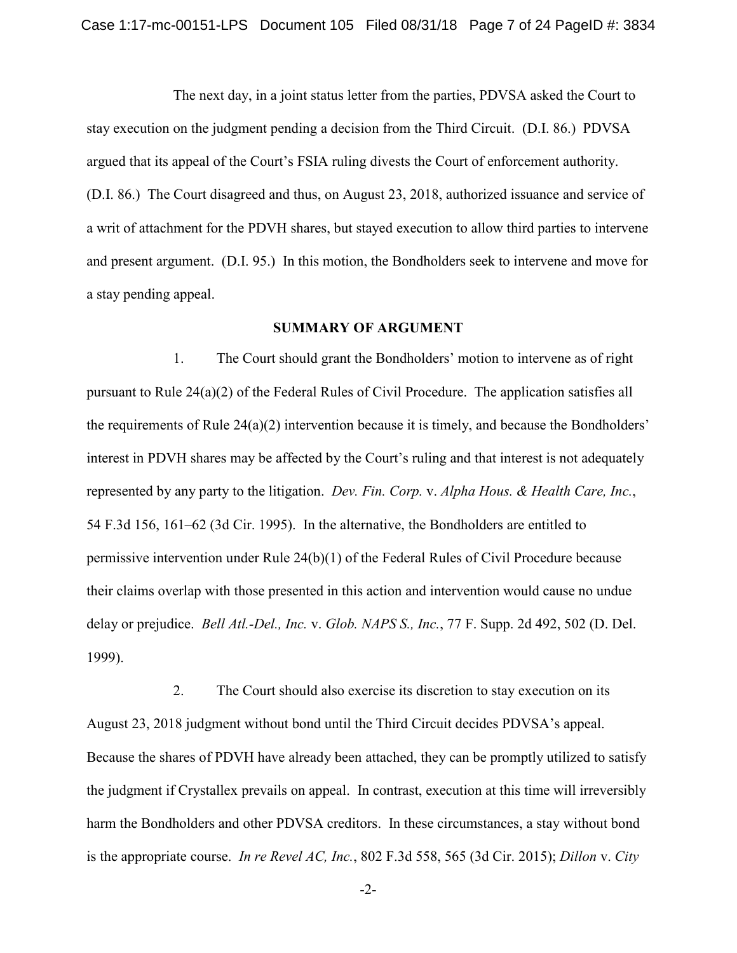The next day, in a joint status letter from the parties, PDVSA asked the Court to stay execution on the judgment pending a decision from the Third Circuit. (D.I. 86.) PDVSA argued that its appeal of the Court's FSIA ruling divests the Court of enforcement authority. (D.I. 86.) The Court disagreed and thus, on August 23, 2018, authorized issuance and service of a writ of attachment for the PDVH shares, but stayed execution to allow third parties to intervene and present argument. (D.I. 95.) In this motion, the Bondholders seek to intervene and move for a stay pending appeal.

#### **SUMMARY OF ARGUMENT**

1. The Court should grant the Bondholders' motion to intervene as of right pursuant to Rule 24(a)(2) of the Federal Rules of Civil Procedure. The application satisfies all the requirements of Rule  $24(a)(2)$  intervention because it is timely, and because the Bondholders' interest in PDVH shares may be affected by the Court's ruling and that interest is not adequately represented by any party to the litigation. *Dev. Fin. Corp.* v. *Alpha Hous. & Health Care, Inc.*, 54 F.3d 156, 161–62 (3d Cir. 1995). In the alternative, the Bondholders are entitled to permissive intervention under Rule 24(b)(1) of the Federal Rules of Civil Procedure because their claims overlap with those presented in this action and intervention would cause no undue delay or prejudice. *Bell Atl.-Del., Inc.* v. *Glob. NAPS S., Inc.*, 77 F. Supp. 2d 492, 502 (D. Del. 1999).

2. The Court should also exercise its discretion to stay execution on its August 23, 2018 judgment without bond until the Third Circuit decides PDVSA's appeal. Because the shares of PDVH have already been attached, they can be promptly utilized to satisfy the judgment if Crystallex prevails on appeal. In contrast, execution at this time will irreversibly harm the Bondholders and other PDVSA creditors. In these circumstances, a stay without bond is the appropriate course. *In re Revel AC, Inc.*, 802 F.3d 558, 565 (3d Cir. 2015); *Dillon* v. *City* 

-2-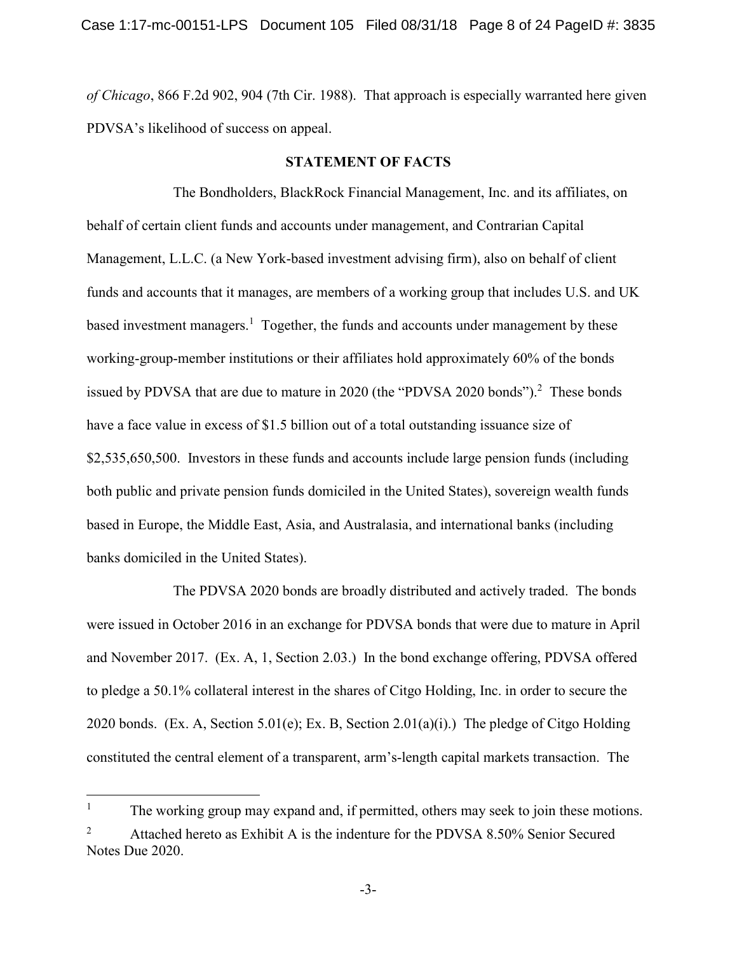*of Chicago*, 866 F.2d 902, 904 (7th Cir. 1988). That approach is especially warranted here given PDVSA's likelihood of success on appeal.

### **STATEMENT OF FACTS**

The Bondholders, BlackRock Financial Management, Inc. and its affiliates, on behalf of certain client funds and accounts under management, and Contrarian Capital Management, L.L.C. (a New York-based investment advising firm), also on behalf of client funds and accounts that it manages, are members of a working group that includes U.S. and UK based investment managers.<sup>1</sup> Together, the funds and accounts under management by these working-group-member institutions or their affiliates hold approximately 60% of the bonds issued by PDVSA that are due to mature in 2020 (the "PDVSA 2020 bonds").<sup>2</sup> These bonds have a face value in excess of \$1.5 billion out of a total outstanding issuance size of \$2,535,650,500. Investors in these funds and accounts include large pension funds (including both public and private pension funds domiciled in the United States), sovereign wealth funds based in Europe, the Middle East, Asia, and Australasia, and international banks (including banks domiciled in the United States).

The PDVSA 2020 bonds are broadly distributed and actively traded. The bonds were issued in October 2016 in an exchange for PDVSA bonds that were due to mature in April and November 2017. (Ex. A, 1, Section 2.03.) In the bond exchange offering, PDVSA offered to pledge a 50.1% collateral interest in the shares of Citgo Holding, Inc. in order to secure the 2020 bonds. (Ex. A, Section 5.01(e); Ex. B, Section 2.01(a)(i).) The pledge of Citgo Holding constituted the central element of a transparent, arm's-length capital markets transaction. The

<u>.</u>

<sup>1</sup> The working group may expand and, if permitted, others may seek to join these motions. 2 Attached hereto as Exhibit A is the indenture for the PDVSA 8.50% Senior Secured Notes Due 2020.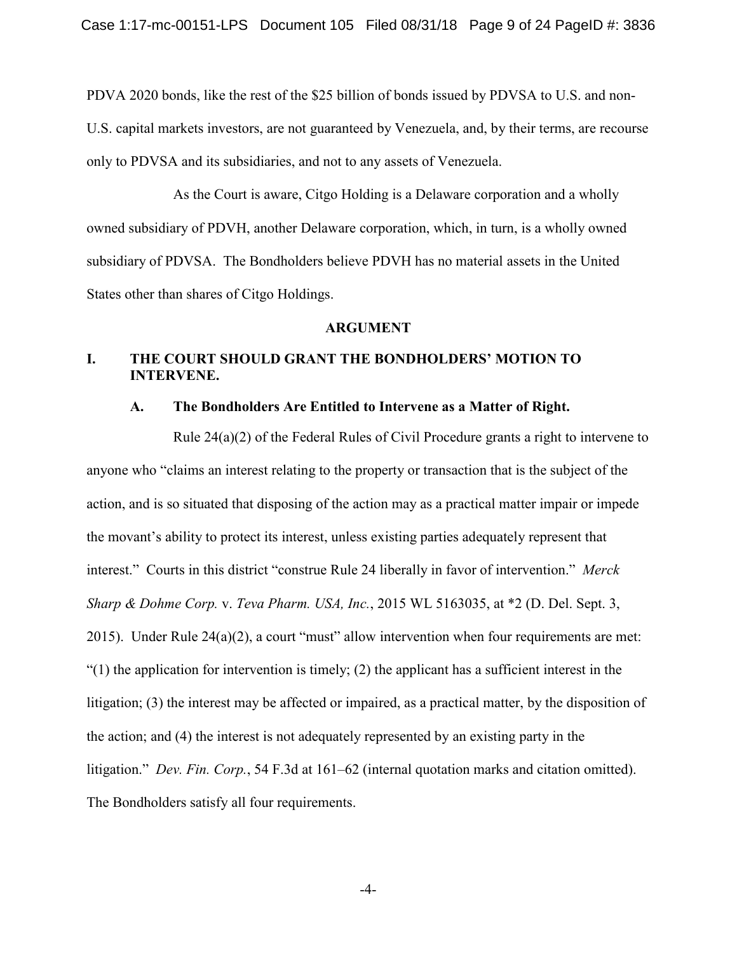PDVA 2020 bonds, like the rest of the \$25 billion of bonds issued by PDVSA to U.S. and non-U.S. capital markets investors, are not guaranteed by Venezuela, and, by their terms, are recourse only to PDVSA and its subsidiaries, and not to any assets of Venezuela.

As the Court is aware, Citgo Holding is a Delaware corporation and a wholly owned subsidiary of PDVH, another Delaware corporation, which, in turn, is a wholly owned subsidiary of PDVSA. The Bondholders believe PDVH has no material assets in the United States other than shares of Citgo Holdings.

#### **ARGUMENT**

## **I. THE COURT SHOULD GRANT THE BONDHOLDERS' MOTION TO INTERVENE.**

#### **A. The Bondholders Are Entitled to Intervene as a Matter of Right.**

Rule 24(a)(2) of the Federal Rules of Civil Procedure grants a right to intervene to anyone who "claims an interest relating to the property or transaction that is the subject of the action, and is so situated that disposing of the action may as a practical matter impair or impede the movant's ability to protect its interest, unless existing parties adequately represent that interest." Courts in this district "construe Rule 24 liberally in favor of intervention." *Merck Sharp & Dohme Corp.* v. *Teva Pharm. USA, Inc.*, 2015 WL 5163035, at \*2 (D. Del. Sept. 3, 2015). Under Rule 24(a)(2), a court "must" allow intervention when four requirements are met:  $(1)$  the application for intervention is timely; (2) the applicant has a sufficient interest in the litigation; (3) the interest may be affected or impaired, as a practical matter, by the disposition of the action; and (4) the interest is not adequately represented by an existing party in the litigation." *Dev. Fin. Corp.*, 54 F.3d at 161–62 (internal quotation marks and citation omitted). The Bondholders satisfy all four requirements.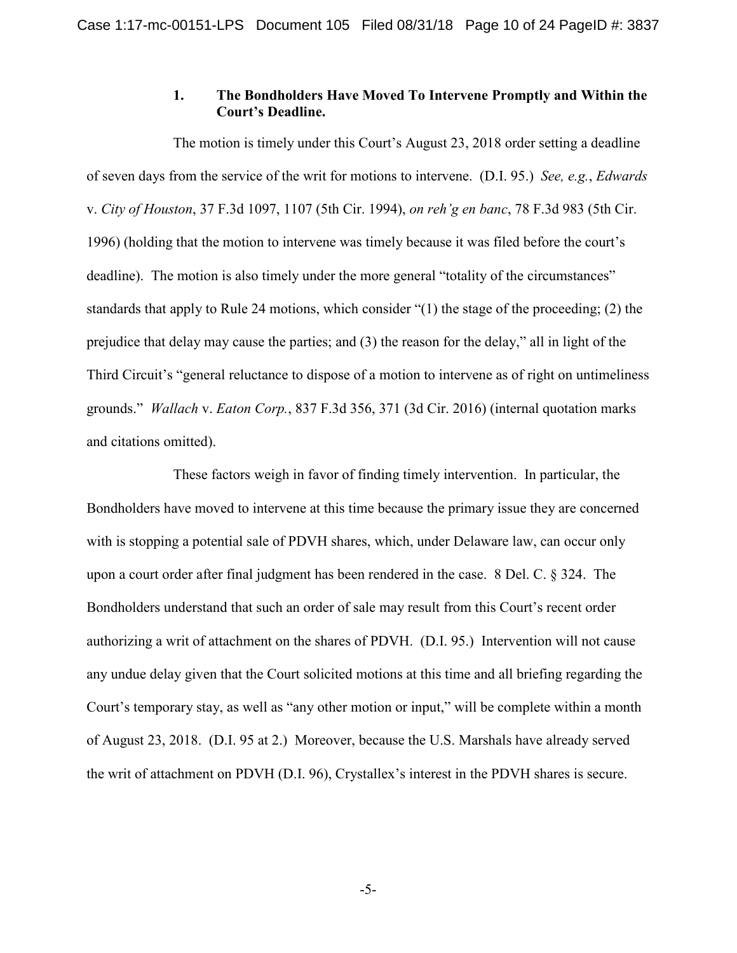## **1. The Bondholders Have Moved To Intervene Promptly and Within the Court's Deadline.**

The motion is timely under this Court's August 23, 2018 order setting a deadline of seven days from the service of the writ for motions to intervene. (D.I. 95.) *See, e.g.*, *Edwards* v. *City of Houston*, 37 F.3d 1097, 1107 (5th Cir. 1994), *on reh'g en banc*, 78 F.3d 983 (5th Cir. 1996) (holding that the motion to intervene was timely because it was filed before the court's deadline). The motion is also timely under the more general "totality of the circumstances" standards that apply to Rule 24 motions, which consider "(1) the stage of the proceeding; (2) the prejudice that delay may cause the parties; and (3) the reason for the delay," all in light of the Third Circuit's "general reluctance to dispose of a motion to intervene as of right on untimeliness grounds." *Wallach* v. *Eaton Corp.*, 837 F.3d 356, 371 (3d Cir. 2016) (internal quotation marks and citations omitted).

These factors weigh in favor of finding timely intervention. In particular, the Bondholders have moved to intervene at this time because the primary issue they are concerned with is stopping a potential sale of PDVH shares, which, under Delaware law, can occur only upon a court order after final judgment has been rendered in the case. 8 Del. C. § 324. The Bondholders understand that such an order of sale may result from this Court's recent order authorizing a writ of attachment on the shares of PDVH. (D.I. 95.) Intervention will not cause any undue delay given that the Court solicited motions at this time and all briefing regarding the Court's temporary stay, as well as "any other motion or input," will be complete within a month of August 23, 2018. (D.I. 95 at 2.) Moreover, because the U.S. Marshals have already served the writ of attachment on PDVH (D.I. 96), Crystallex's interest in the PDVH shares is secure.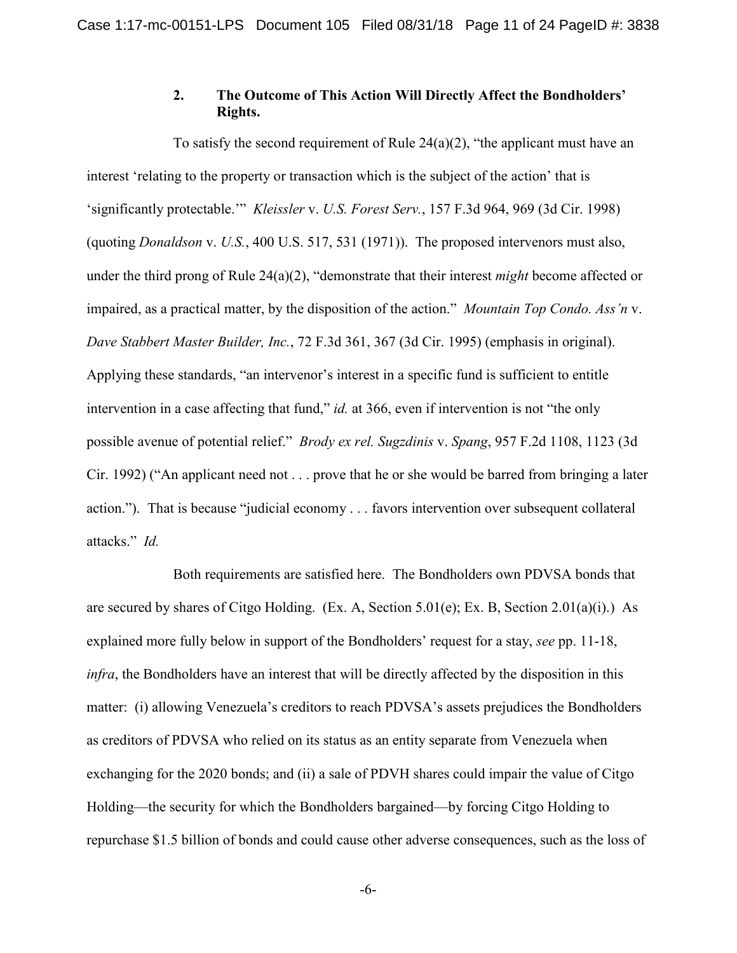## **2. The Outcome of This Action Will Directly Affect the Bondholders' Rights.**

To satisfy the second requirement of Rule  $24(a)(2)$ , "the applicant must have an interest 'relating to the property or transaction which is the subject of the action' that is 'significantly protectable.'" *Kleissler* v. *U.S. Forest Serv.*, 157 F.3d 964, 969 (3d Cir. 1998) (quoting *Donaldson* v. *U.S.*, 400 U.S. 517, 531 (1971)). The proposed intervenors must also, under the third prong of Rule 24(a)(2), "demonstrate that their interest *might* become affected or impaired, as a practical matter, by the disposition of the action." *Mountain Top Condo. Ass'n* v. *Dave Stabbert Master Builder, Inc.*, 72 F.3d 361, 367 (3d Cir. 1995) (emphasis in original). Applying these standards, "an intervenor's interest in a specific fund is sufficient to entitle intervention in a case affecting that fund," *id.* at 366, even if intervention is not "the only possible avenue of potential relief." *Brody ex rel. Sugzdinis* v. *Spang*, 957 F.2d 1108, 1123 (3d Cir. 1992) ("An applicant need not . . . prove that he or she would be barred from bringing a later action."). That is because "judicial economy . . . favors intervention over subsequent collateral attacks." *Id.*

Both requirements are satisfied here. The Bondholders own PDVSA bonds that are secured by shares of Citgo Holding. (Ex. A, Section 5.01(e); Ex. B, Section 2.01(a)(i).) As explained more fully below in support of the Bondholders' request for a stay, *see* pp. 11-18, *infra*, the Bondholders have an interest that will be directly affected by the disposition in this matter: (i) allowing Venezuela's creditors to reach PDVSA's assets prejudices the Bondholders as creditors of PDVSA who relied on its status as an entity separate from Venezuela when exchanging for the 2020 bonds; and (ii) a sale of PDVH shares could impair the value of Citgo Holding—the security for which the Bondholders bargained—by forcing Citgo Holding to repurchase \$1.5 billion of bonds and could cause other adverse consequences, such as the loss of

-6-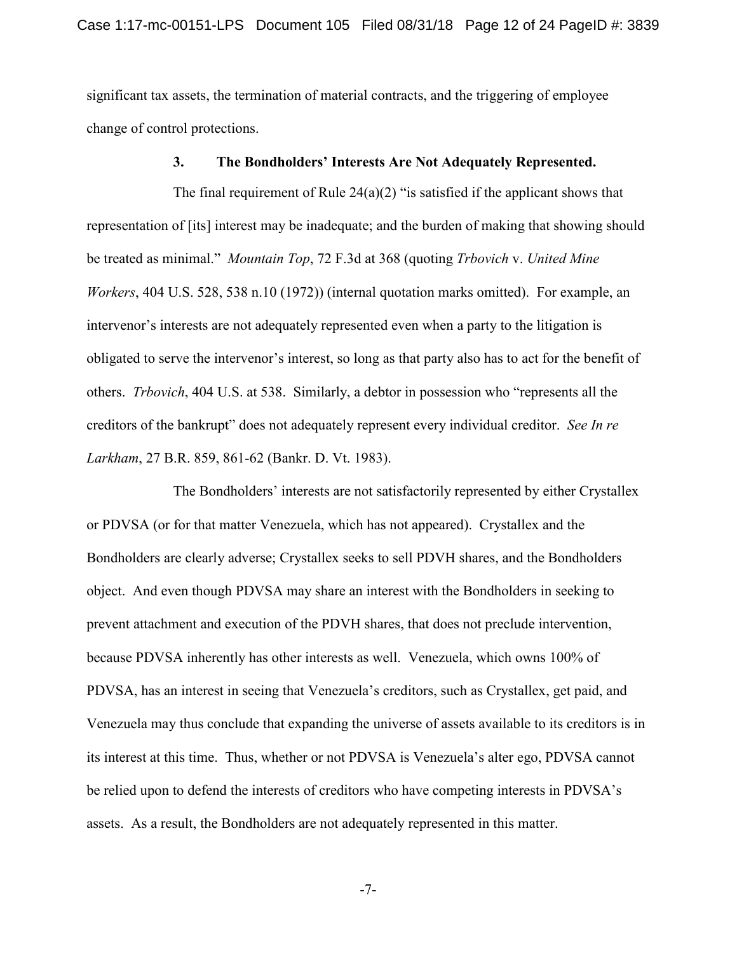significant tax assets, the termination of material contracts, and the triggering of employee change of control protections.

#### **3. The Bondholders' Interests Are Not Adequately Represented.**

The final requirement of Rule  $24(a)(2)$  "is satisfied if the applicant shows that representation of [its] interest may be inadequate; and the burden of making that showing should be treated as minimal." *Mountain Top*, 72 F.3d at 368 (quoting *Trbovich* v. *United Mine Workers*, 404 U.S. 528, 538 n.10 (1972)) (internal quotation marks omitted). For example, an intervenor's interests are not adequately represented even when a party to the litigation is obligated to serve the intervenor's interest, so long as that party also has to act for the benefit of others. *Trbovich*, 404 U.S. at 538. Similarly, a debtor in possession who "represents all the creditors of the bankrupt" does not adequately represent every individual creditor. *See In re Larkham*, 27 B.R. 859, 861-62 (Bankr. D. Vt. 1983).

The Bondholders' interests are not satisfactorily represented by either Crystallex or PDVSA (or for that matter Venezuela, which has not appeared). Crystallex and the Bondholders are clearly adverse; Crystallex seeks to sell PDVH shares, and the Bondholders object. And even though PDVSA may share an interest with the Bondholders in seeking to prevent attachment and execution of the PDVH shares, that does not preclude intervention, because PDVSA inherently has other interests as well. Venezuela, which owns 100% of PDVSA, has an interest in seeing that Venezuela's creditors, such as Crystallex, get paid, and Venezuela may thus conclude that expanding the universe of assets available to its creditors is in its interest at this time. Thus, whether or not PDVSA is Venezuela's alter ego, PDVSA cannot be relied upon to defend the interests of creditors who have competing interests in PDVSA's assets. As a result, the Bondholders are not adequately represented in this matter.

-7-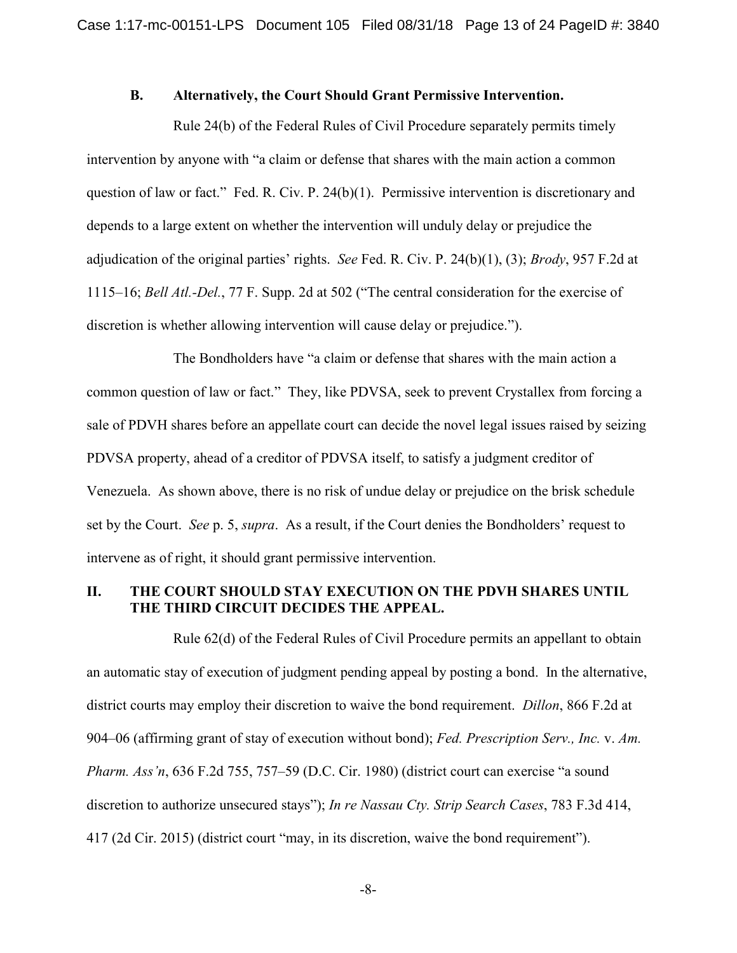## **B. Alternatively, the Court Should Grant Permissive Intervention.**

Rule 24(b) of the Federal Rules of Civil Procedure separately permits timely intervention by anyone with "a claim or defense that shares with the main action a common question of law or fact." Fed. R. Civ. P. 24(b)(1). Permissive intervention is discretionary and depends to a large extent on whether the intervention will unduly delay or prejudice the adjudication of the original parties' rights. *See* Fed. R. Civ. P. 24(b)(1), (3); *Brody*, 957 F.2d at 1115–16; *Bell Atl.-Del.*, 77 F. Supp. 2d at 502 ("The central consideration for the exercise of discretion is whether allowing intervention will cause delay or prejudice.").

The Bondholders have "a claim or defense that shares with the main action a common question of law or fact." They, like PDVSA, seek to prevent Crystallex from forcing a sale of PDVH shares before an appellate court can decide the novel legal issues raised by seizing PDVSA property, ahead of a creditor of PDVSA itself, to satisfy a judgment creditor of Venezuela. As shown above, there is no risk of undue delay or prejudice on the brisk schedule set by the Court. *See* p. 5, *supra*. As a result, if the Court denies the Bondholders' request to intervene as of right, it should grant permissive intervention.

## **II. THE COURT SHOULD STAY EXECUTION ON THE PDVH SHARES UNTIL THE THIRD CIRCUIT DECIDES THE APPEAL.**

Rule 62(d) of the Federal Rules of Civil Procedure permits an appellant to obtain an automatic stay of execution of judgment pending appeal by posting a bond. In the alternative, district courts may employ their discretion to waive the bond requirement. *Dillon*, 866 F.2d at 904–06 (affirming grant of stay of execution without bond); *Fed. Prescription Serv., Inc.* v. *Am. Pharm. Ass'n*, 636 F.2d 755, 757–59 (D.C. Cir. 1980) (district court can exercise "a sound discretion to authorize unsecured stays"); *In re Nassau Cty. Strip Search Cases*, 783 F.3d 414, 417 (2d Cir. 2015) (district court "may, in its discretion, waive the bond requirement").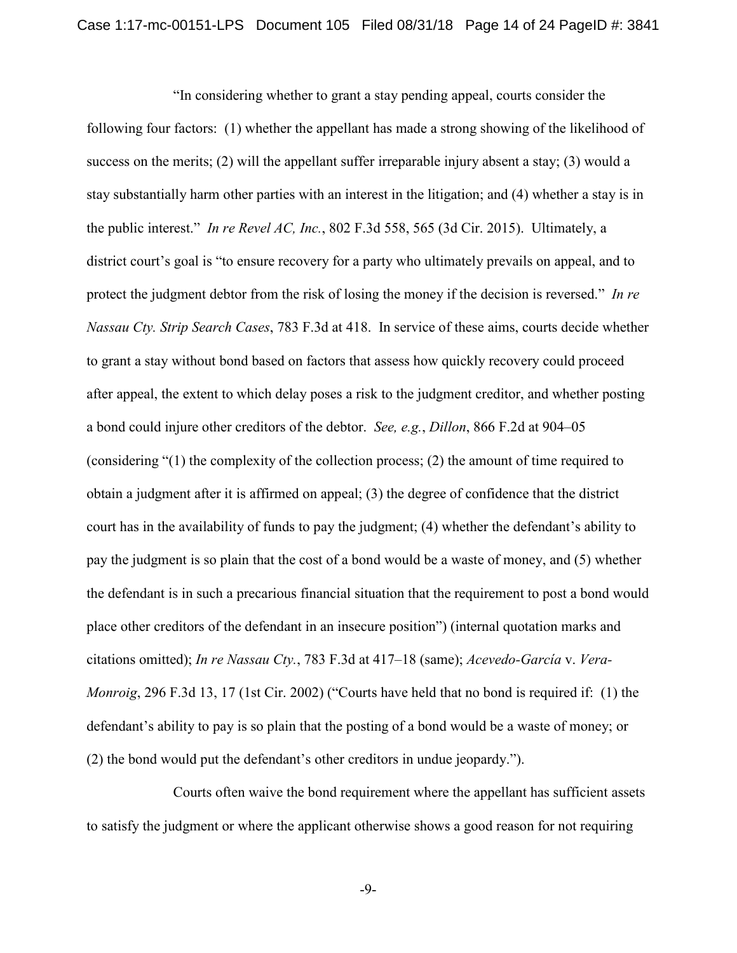"In considering whether to grant a stay pending appeal, courts consider the following four factors: (1) whether the appellant has made a strong showing of the likelihood of success on the merits; (2) will the appellant suffer irreparable injury absent a stay; (3) would a stay substantially harm other parties with an interest in the litigation; and (4) whether a stay is in the public interest." *In re Revel AC, Inc.*, 802 F.3d 558, 565 (3d Cir. 2015). Ultimately, a district court's goal is "to ensure recovery for a party who ultimately prevails on appeal, and to protect the judgment debtor from the risk of losing the money if the decision is reversed." *In re Nassau Cty. Strip Search Cases*, 783 F.3d at 418. In service of these aims, courts decide whether to grant a stay without bond based on factors that assess how quickly recovery could proceed after appeal, the extent to which delay poses a risk to the judgment creditor, and whether posting a bond could injure other creditors of the debtor. *See, e.g.*, *Dillon*, 866 F.2d at 904–05 (considering "(1) the complexity of the collection process; (2) the amount of time required to obtain a judgment after it is affirmed on appeal; (3) the degree of confidence that the district court has in the availability of funds to pay the judgment; (4) whether the defendant's ability to pay the judgment is so plain that the cost of a bond would be a waste of money, and (5) whether the defendant is in such a precarious financial situation that the requirement to post a bond would place other creditors of the defendant in an insecure position") (internal quotation marks and citations omitted); *In re Nassau Cty.*, 783 F.3d at 417–18 (same); *Acevedo-García* v. *Vera-Monroig*, 296 F.3d 13, 17 (1st Cir. 2002) ("Courts have held that no bond is required if: (1) the defendant's ability to pay is so plain that the posting of a bond would be a waste of money; or (2) the bond would put the defendant's other creditors in undue jeopardy.").

Courts often waive the bond requirement where the appellant has sufficient assets to satisfy the judgment or where the applicant otherwise shows a good reason for not requiring

-9-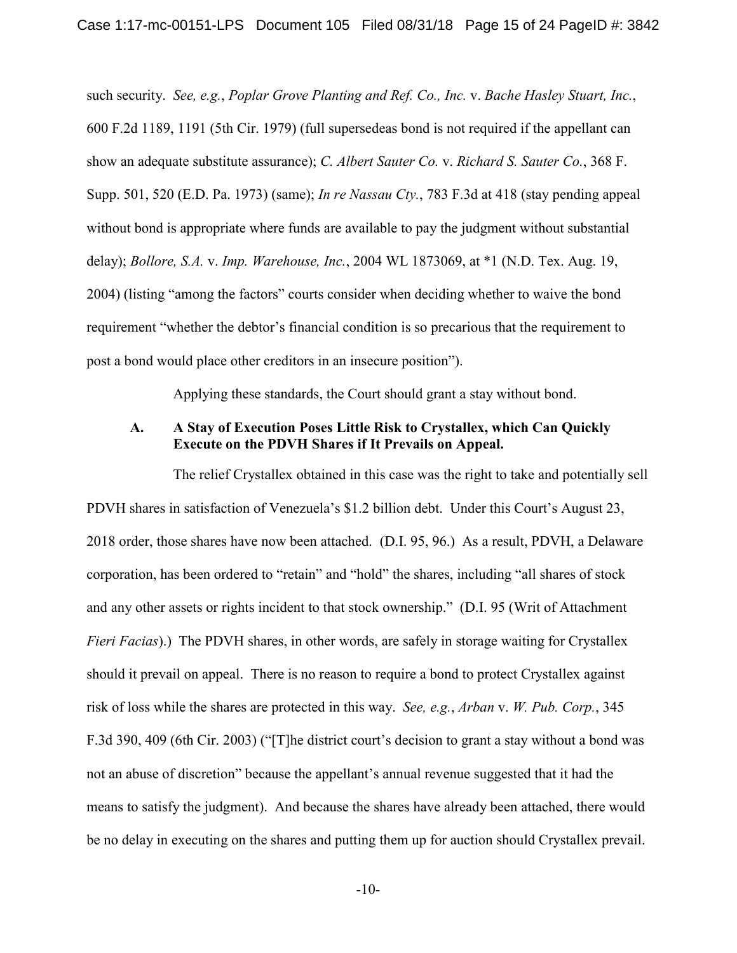such security. *See, e.g.*, *Poplar Grove Planting and Ref. Co., Inc.* v. *Bache Hasley Stuart, Inc.*, 600 F.2d 1189, 1191 (5th Cir. 1979) (full supersedeas bond is not required if the appellant can show an adequate substitute assurance); *C. Albert Sauter Co.* v. *Richard S. Sauter Co.*, 368 F. Supp. 501, 520 (E.D. Pa. 1973) (same); *In re Nassau Cty.*, 783 F.3d at 418 (stay pending appeal without bond is appropriate where funds are available to pay the judgment without substantial delay); *Bollore, S.A.* v. *Imp. Warehouse, Inc.*, 2004 WL 1873069, at \*1 (N.D. Tex. Aug. 19, 2004) (listing "among the factors" courts consider when deciding whether to waive the bond requirement "whether the debtor's financial condition is so precarious that the requirement to post a bond would place other creditors in an insecure position").

Applying these standards, the Court should grant a stay without bond.

## **A. A Stay of Execution Poses Little Risk to Crystallex, which Can Quickly Execute on the PDVH Shares if It Prevails on Appeal.**

The relief Crystallex obtained in this case was the right to take and potentially sell PDVH shares in satisfaction of Venezuela's \$1.2 billion debt. Under this Court's August 23, 2018 order, those shares have now been attached. (D.I. 95, 96.) As a result, PDVH, a Delaware corporation, has been ordered to "retain" and "hold" the shares, including "all shares of stock and any other assets or rights incident to that stock ownership." (D.I. 95 (Writ of Attachment *Fieri Facias*).) The PDVH shares, in other words, are safely in storage waiting for Crystallex should it prevail on appeal. There is no reason to require a bond to protect Crystallex against risk of loss while the shares are protected in this way. *See, e.g.*, *Arban* v. *W. Pub. Corp.*, 345 F.3d 390, 409 (6th Cir. 2003) ("[T]he district court's decision to grant a stay without a bond was not an abuse of discretion" because the appellant's annual revenue suggested that it had the means to satisfy the judgment). And because the shares have already been attached, there would be no delay in executing on the shares and putting them up for auction should Crystallex prevail.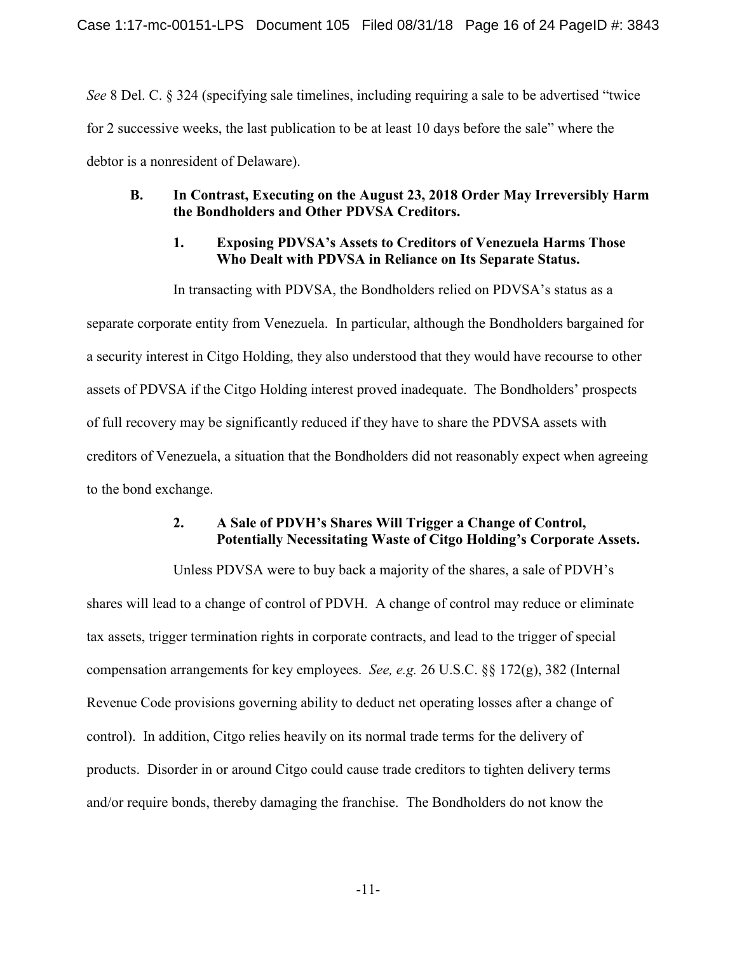*See* 8 Del. C. § 324 (specifying sale timelines, including requiring a sale to be advertised "twice for 2 successive weeks, the last publication to be at least 10 days before the sale" where the debtor is a nonresident of Delaware).

## **B. In Contrast, Executing on the August 23, 2018 Order May Irreversibly Harm the Bondholders and Other PDVSA Creditors.**

## **1. Exposing PDVSA's Assets to Creditors of Venezuela Harms Those Who Dealt with PDVSA in Reliance on Its Separate Status.**

In transacting with PDVSA, the Bondholders relied on PDVSA's status as a separate corporate entity from Venezuela. In particular, although the Bondholders bargained for a security interest in Citgo Holding, they also understood that they would have recourse to other assets of PDVSA if the Citgo Holding interest proved inadequate. The Bondholders' prospects of full recovery may be significantly reduced if they have to share the PDVSA assets with creditors of Venezuela, a situation that the Bondholders did not reasonably expect when agreeing to the bond exchange.

## **2. A Sale of PDVH's Shares Will Trigger a Change of Control, Potentially Necessitating Waste of Citgo Holding's Corporate Assets.**

Unless PDVSA were to buy back a majority of the shares, a sale of PDVH's shares will lead to a change of control of PDVH. A change of control may reduce or eliminate tax assets, trigger termination rights in corporate contracts, and lead to the trigger of special compensation arrangements for key employees. *See, e.g.* 26 U.S.C. §§ 172(g), 382 (Internal Revenue Code provisions governing ability to deduct net operating losses after a change of control). In addition, Citgo relies heavily on its normal trade terms for the delivery of products. Disorder in or around Citgo could cause trade creditors to tighten delivery terms and/or require bonds, thereby damaging the franchise. The Bondholders do not know the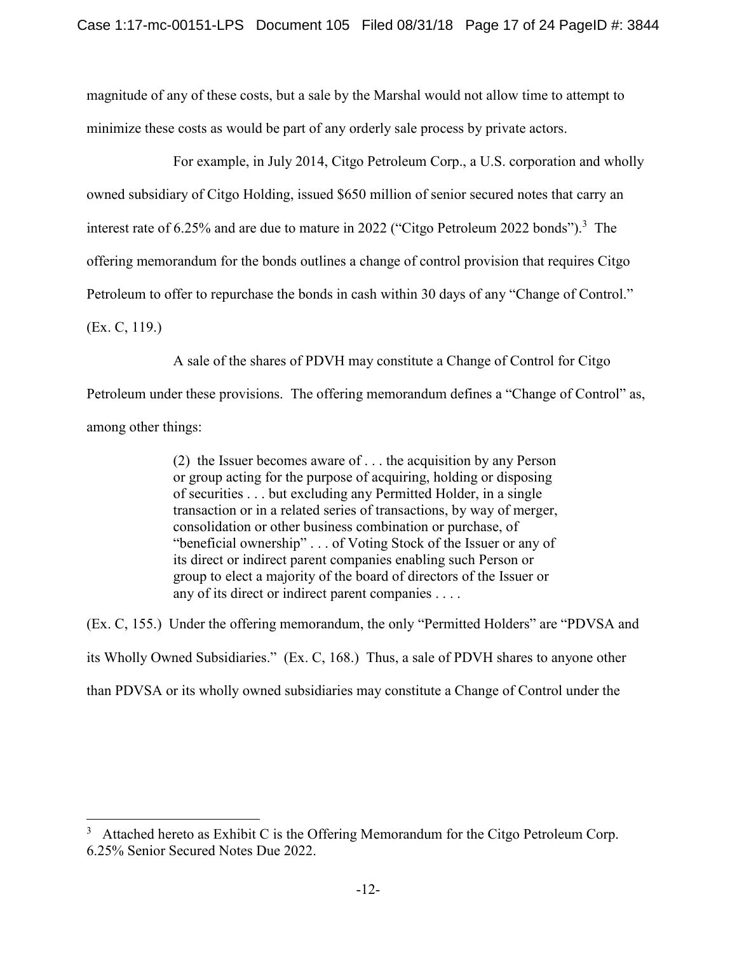magnitude of any of these costs, but a sale by the Marshal would not allow time to attempt to minimize these costs as would be part of any orderly sale process by private actors.

For example, in July 2014, Citgo Petroleum Corp., a U.S. corporation and wholly owned subsidiary of Citgo Holding, issued \$650 million of senior secured notes that carry an interest rate of 6.25% and are due to mature in 2022 ("Citgo Petroleum 2022 bonds").<sup>3</sup> The offering memorandum for the bonds outlines a change of control provision that requires Citgo Petroleum to offer to repurchase the bonds in cash within 30 days of any "Change of Control."

(Ex. C, 119.)

-

A sale of the shares of PDVH may constitute a Change of Control for Citgo

Petroleum under these provisions. The offering memorandum defines a "Change of Control" as, among other things:

> (2) the Issuer becomes aware of . . . the acquisition by any Person or group acting for the purpose of acquiring, holding or disposing of securities . . . but excluding any Permitted Holder, in a single transaction or in a related series of transactions, by way of merger, consolidation or other business combination or purchase, of "beneficial ownership" . . . of Voting Stock of the Issuer or any of its direct or indirect parent companies enabling such Person or group to elect a majority of the board of directors of the Issuer or any of its direct or indirect parent companies . . . .

(Ex. C, 155.) Under the offering memorandum, the only "Permitted Holders" are "PDVSA and its Wholly Owned Subsidiaries." (Ex. C, 168.) Thus, a sale of PDVH shares to anyone other than PDVSA or its wholly owned subsidiaries may constitute a Change of Control under the

<sup>3</sup> Attached hereto as Exhibit C is the Offering Memorandum for the Citgo Petroleum Corp. 6.25% Senior Secured Notes Due 2022.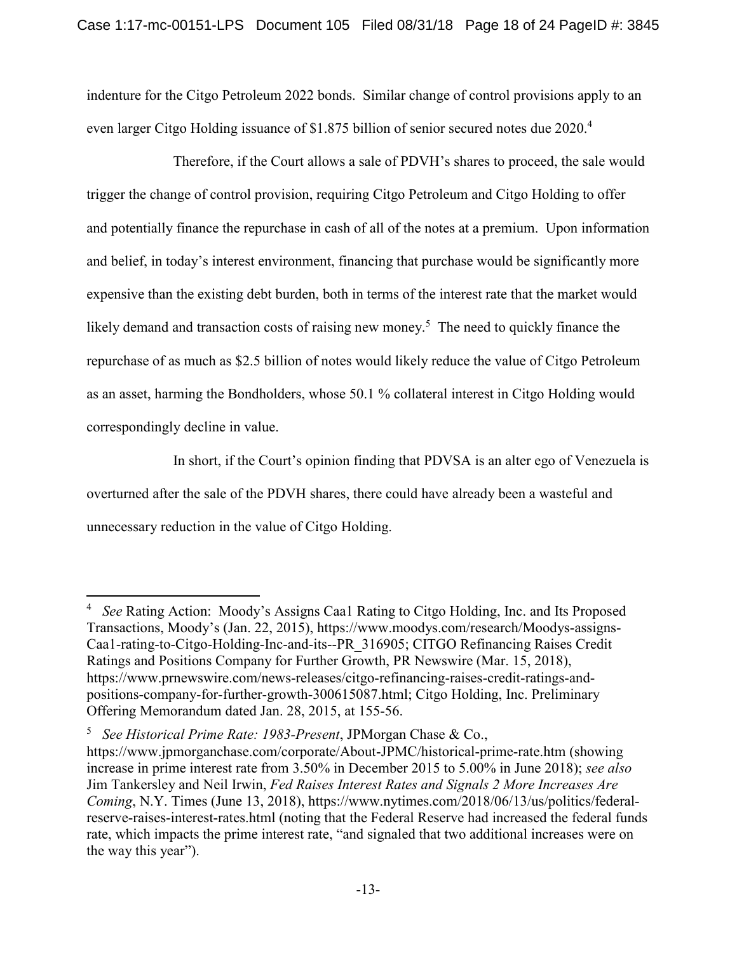indenture for the Citgo Petroleum 2022 bonds. Similar change of control provisions apply to an even larger Citgo Holding issuance of \$1.875 billion of senior secured notes due 2020.<sup>4</sup>

Therefore, if the Court allows a sale of PDVH's shares to proceed, the sale would trigger the change of control provision, requiring Citgo Petroleum and Citgo Holding to offer and potentially finance the repurchase in cash of all of the notes at a premium. Upon information and belief, in today's interest environment, financing that purchase would be significantly more expensive than the existing debt burden, both in terms of the interest rate that the market would likely demand and transaction costs of raising new money.<sup>5</sup> The need to quickly finance the repurchase of as much as \$2.5 billion of notes would likely reduce the value of Citgo Petroleum as an asset, harming the Bondholders, whose 50.1 % collateral interest in Citgo Holding would correspondingly decline in value.

In short, if the Court's opinion finding that PDVSA is an alter ego of Venezuela is overturned after the sale of the PDVH shares, there could have already been a wasteful and unnecessary reduction in the value of Citgo Holding.

1

<sup>4</sup> *See* Rating Action: Moody's Assigns Caa1 Rating to Citgo Holding, Inc. and Its Proposed Transactions, Moody's (Jan. 22, 2015), https://www.moodys.com/research/Moodys-assigns-Caa1-rating-to-Citgo-Holding-Inc-and-its--PR\_316905; CITGO Refinancing Raises Credit Ratings and Positions Company for Further Growth, PR Newswire (Mar. 15, 2018), https://www.prnewswire.com/news-releases/citgo-refinancing-raises-credit-ratings-andpositions-company-for-further-growth-300615087.html; Citgo Holding, Inc. Preliminary Offering Memorandum dated Jan. 28, 2015, at 155-56.

<sup>5</sup> *See Historical Prime Rate: 1983-Present*, JPMorgan Chase & Co.,

https://www.jpmorganchase.com/corporate/About-JPMC/historical-prime-rate.htm (showing increase in prime interest rate from 3.50% in December 2015 to 5.00% in June 2018); *see also* Jim Tankersley and Neil Irwin, *Fed Raises Interest Rates and Signals 2 More Increases Are Coming*, N.Y. Times (June 13, 2018), https://www.nytimes.com/2018/06/13/us/politics/federalreserve-raises-interest-rates.html (noting that the Federal Reserve had increased the federal funds rate, which impacts the prime interest rate, "and signaled that two additional increases were on the way this year").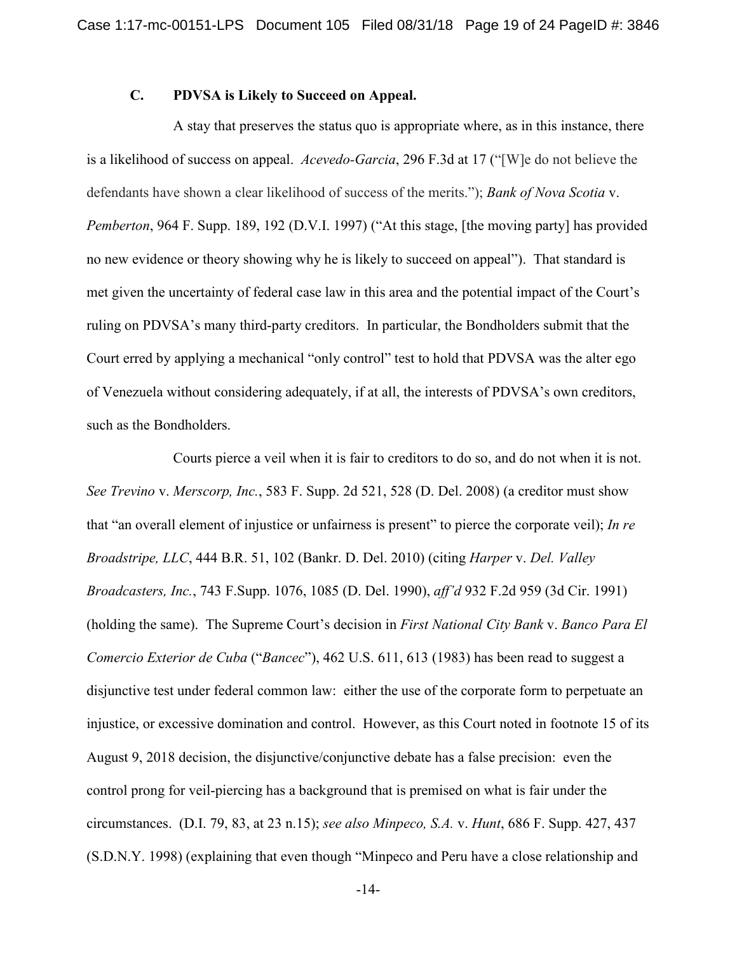## **C. PDVSA is Likely to Succeed on Appeal.**

A stay that preserves the status quo is appropriate where, as in this instance, there is a likelihood of success on appeal. *Acevedo-Garcia*, 296 F.3d at 17 ("[W]e do not believe the defendants have shown a clear likelihood of success of the merits."); *Bank of Nova Scotia* v. *Pemberton*, 964 F. Supp. 189, 192 (D.V.I. 1997) ("At this stage, [the moving party] has provided no new evidence or theory showing why he is likely to succeed on appeal"). That standard is met given the uncertainty of federal case law in this area and the potential impact of the Court's ruling on PDVSA's many third-party creditors. In particular, the Bondholders submit that the Court erred by applying a mechanical "only control" test to hold that PDVSA was the alter ego of Venezuela without considering adequately, if at all, the interests of PDVSA's own creditors, such as the Bondholders.

Courts pierce a veil when it is fair to creditors to do so, and do not when it is not. *See Trevino* v. *Merscorp, Inc.*, 583 F. Supp. 2d 521, 528 (D. Del. 2008) (a creditor must show that "an overall element of injustice or unfairness is present" to pierce the corporate veil); *In re Broadstripe, LLC*, 444 B.R. 51, 102 (Bankr. D. Del. 2010) (citing *Harper* v. *Del. Valley Broadcasters, Inc.*, 743 F.Supp. 1076, 1085 (D. Del. 1990), *aff'd* 932 F.2d 959 (3d Cir. 1991) (holding the same). The Supreme Court's decision in *First National City Bank* v. *Banco Para El Comercio Exterior de Cuba* ("*Bancec*"), 462 U.S. 611, 613 (1983) has been read to suggest a disjunctive test under federal common law: either the use of the corporate form to perpetuate an injustice, or excessive domination and control. However, as this Court noted in footnote 15 of its August 9, 2018 decision, the disjunctive/conjunctive debate has a false precision: even the control prong for veil-piercing has a background that is premised on what is fair under the circumstances. (D.I. 79, 83, at 23 n.15); *see also Minpeco, S.A.* v. *Hunt*, 686 F. Supp. 427, 437 (S.D.N.Y. 1998) (explaining that even though "Minpeco and Peru have a close relationship and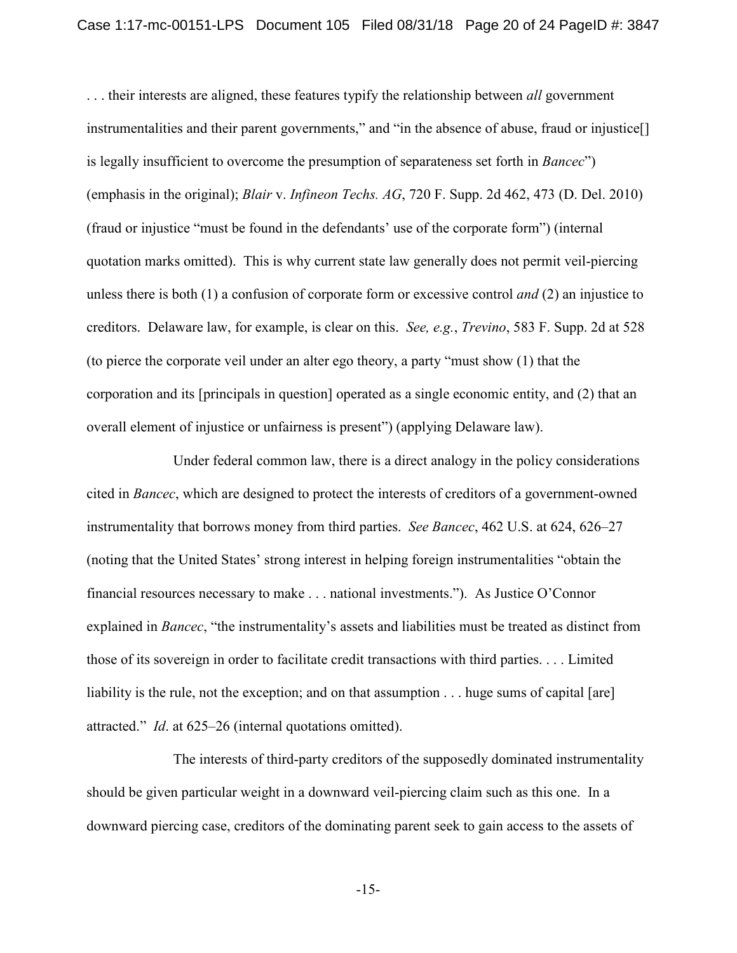. . . their interests are aligned, these features typify the relationship between *all* government instrumentalities and their parent governments," and "in the absence of abuse, fraud or injustice<sup>[]</sup> is legally insufficient to overcome the presumption of separateness set forth in *Bancec*") (emphasis in the original); *Blair* v. *Infineon Techs. AG*, 720 F. Supp. 2d 462, 473 (D. Del. 2010) (fraud or injustice "must be found in the defendants' use of the corporate form") (internal quotation marks omitted). This is why current state law generally does not permit veil-piercing unless there is both (1) a confusion of corporate form or excessive control *and* (2) an injustice to creditors. Delaware law, for example, is clear on this. *See, e.g.*, *Trevino*, 583 F. Supp. 2d at 528 (to pierce the corporate veil under an alter ego theory, a party "must show (1) that the corporation and its [principals in question] operated as a single economic entity, and (2) that an overall element of injustice or unfairness is present") (applying Delaware law).

Under federal common law, there is a direct analogy in the policy considerations cited in *Bancec*, which are designed to protect the interests of creditors of a government-owned instrumentality that borrows money from third parties. *See Bancec*, 462 U.S. at 624, 626–27 (noting that the United States' strong interest in helping foreign instrumentalities "obtain the financial resources necessary to make . . . national investments."). As Justice O'Connor explained in *Bancec*, "the instrumentality's assets and liabilities must be treated as distinct from those of its sovereign in order to facilitate credit transactions with third parties. . . . Limited liability is the rule, not the exception; and on that assumption . . . huge sums of capital [are] attracted." *Id*. at 625–26 (internal quotations omitted).

The interests of third-party creditors of the supposedly dominated instrumentality should be given particular weight in a downward veil-piercing claim such as this one. In a downward piercing case, creditors of the dominating parent seek to gain access to the assets of

-15-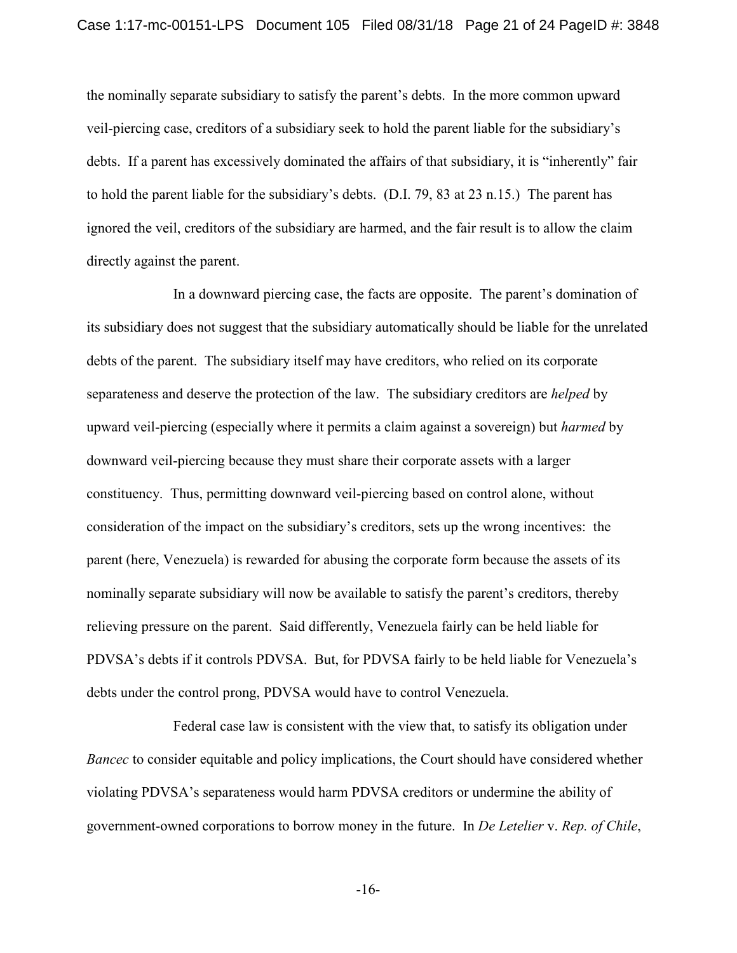the nominally separate subsidiary to satisfy the parent's debts. In the more common upward veil-piercing case, creditors of a subsidiary seek to hold the parent liable for the subsidiary's debts. If a parent has excessively dominated the affairs of that subsidiary, it is "inherently" fair to hold the parent liable for the subsidiary's debts. (D.I. 79, 83 at 23 n.15.) The parent has ignored the veil, creditors of the subsidiary are harmed, and the fair result is to allow the claim directly against the parent.

In a downward piercing case, the facts are opposite. The parent's domination of its subsidiary does not suggest that the subsidiary automatically should be liable for the unrelated debts of the parent. The subsidiary itself may have creditors, who relied on its corporate separateness and deserve the protection of the law. The subsidiary creditors are *helped* by upward veil-piercing (especially where it permits a claim against a sovereign) but *harmed* by downward veil-piercing because they must share their corporate assets with a larger constituency. Thus, permitting downward veil-piercing based on control alone, without consideration of the impact on the subsidiary's creditors, sets up the wrong incentives: the parent (here, Venezuela) is rewarded for abusing the corporate form because the assets of its nominally separate subsidiary will now be available to satisfy the parent's creditors, thereby relieving pressure on the parent. Said differently, Venezuela fairly can be held liable for PDVSA's debts if it controls PDVSA. But, for PDVSA fairly to be held liable for Venezuela's debts under the control prong, PDVSA would have to control Venezuela.

Federal case law is consistent with the view that, to satisfy its obligation under *Bancec* to consider equitable and policy implications, the Court should have considered whether violating PDVSA's separateness would harm PDVSA creditors or undermine the ability of government-owned corporations to borrow money in the future. In *De Letelier* v. *Rep. of Chile*,

-16-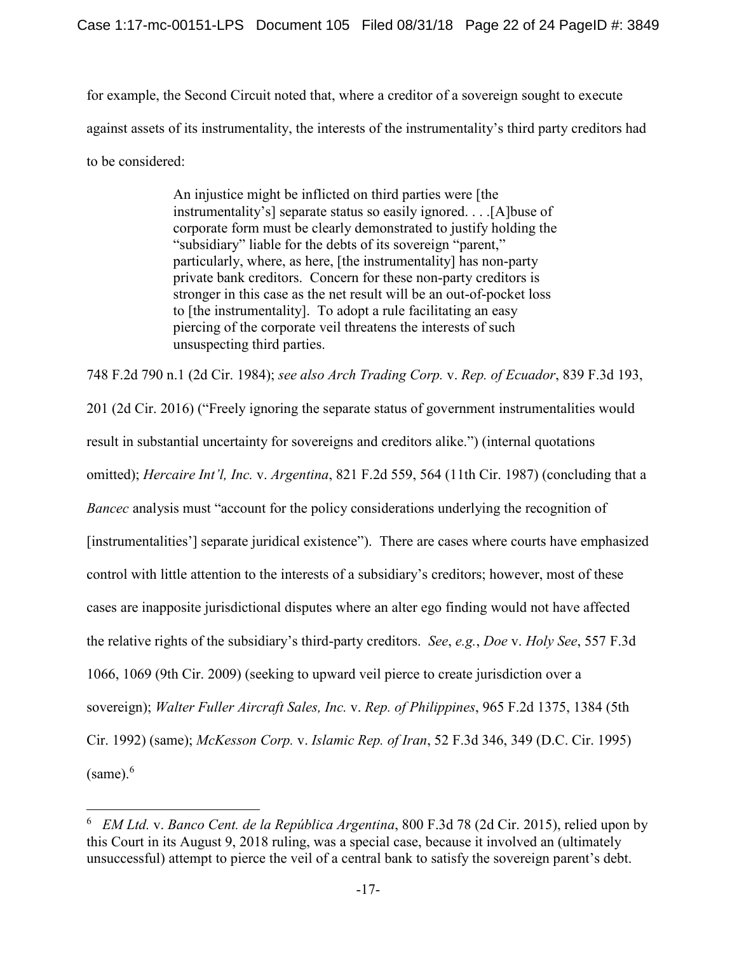for example, the Second Circuit noted that, where a creditor of a sovereign sought to execute against assets of its instrumentality, the interests of the instrumentality's third party creditors had to be considered:

> An injustice might be inflicted on third parties were [the instrumentality's] separate status so easily ignored. . . .[A]buse of corporate form must be clearly demonstrated to justify holding the "subsidiary" liable for the debts of its sovereign "parent," particularly, where, as here, [the instrumentality] has non-party private bank creditors. Concern for these non-party creditors is stronger in this case as the net result will be an out-of-pocket loss to [the instrumentality]. To adopt a rule facilitating an easy piercing of the corporate veil threatens the interests of such unsuspecting third parties.

748 F.2d 790 n.1 (2d Cir. 1984); *see also Arch Trading Corp.* v. *Rep. of Ecuador*, 839 F.3d 193,

201 (2d Cir. 2016) ("Freely ignoring the separate status of government instrumentalities would result in substantial uncertainty for sovereigns and creditors alike.") (internal quotations omitted); *Hercaire Int'l, Inc.* v. *Argentina*, 821 F.2d 559, 564 (11th Cir. 1987) (concluding that a *Bancec* analysis must "account for the policy considerations underlying the recognition of [instrumentalities'] separate juridical existence"). There are cases where courts have emphasized control with little attention to the interests of a subsidiary's creditors; however, most of these cases are inapposite jurisdictional disputes where an alter ego finding would not have affected the relative rights of the subsidiary's third-party creditors. *See*, *e.g.*, *Doe* v. *Holy See*, 557 F.3d 1066, 1069 (9th Cir. 2009) (seeking to upward veil pierce to create jurisdiction over a sovereign); *Walter Fuller Aircraft Sales, Inc.* v. *Rep. of Philippines*, 965 F.2d 1375, 1384 (5th Cir. 1992) (same); *McKesson Corp.* v. *Islamic Rep. of Iran*, 52 F.3d 346, 349 (D.C. Cir. 1995)  $(same).<sup>6</sup>$ 

 $\overline{a}$ 

<sup>6</sup> *EM Ltd.* v. *Banco Cent. de la República Argentina*, 800 F.3d 78 (2d Cir. 2015), relied upon by this Court in its August 9, 2018 ruling, was a special case, because it involved an (ultimately unsuccessful) attempt to pierce the veil of a central bank to satisfy the sovereign parent's debt.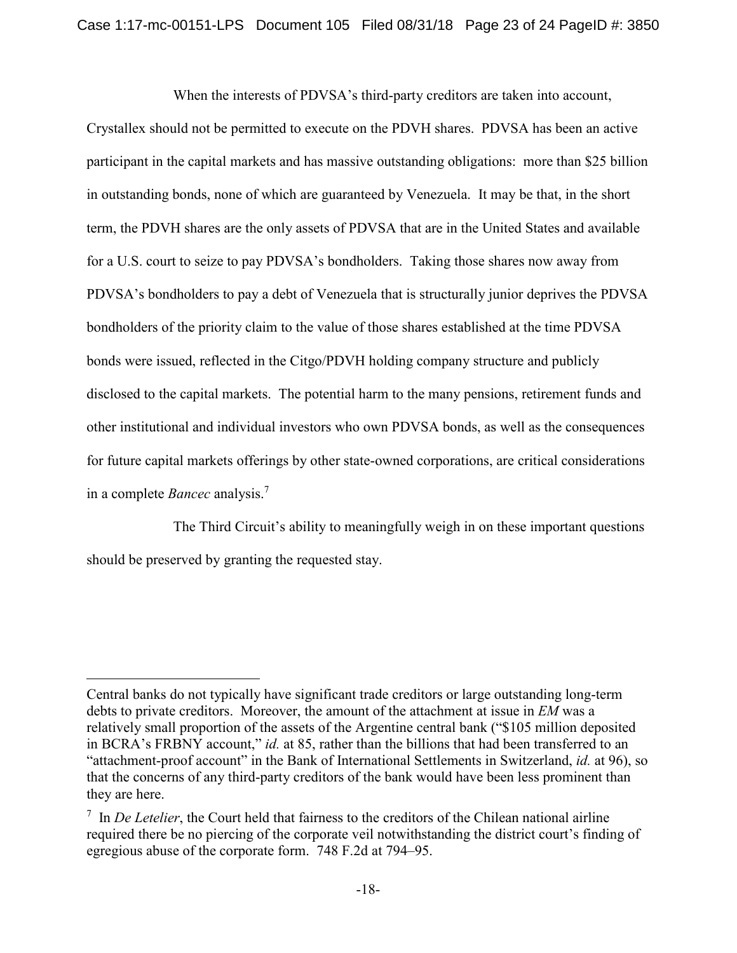When the interests of PDVSA's third-party creditors are taken into account,

Crystallex should not be permitted to execute on the PDVH shares. PDVSA has been an active participant in the capital markets and has massive outstanding obligations: more than \$25 billion in outstanding bonds, none of which are guaranteed by Venezuela. It may be that, in the short term, the PDVH shares are the only assets of PDVSA that are in the United States and available for a U.S. court to seize to pay PDVSA's bondholders. Taking those shares now away from PDVSA's bondholders to pay a debt of Venezuela that is structurally junior deprives the PDVSA bondholders of the priority claim to the value of those shares established at the time PDVSA bonds were issued, reflected in the Citgo/PDVH holding company structure and publicly disclosed to the capital markets. The potential harm to the many pensions, retirement funds and other institutional and individual investors who own PDVSA bonds, as well as the consequences for future capital markets offerings by other state-owned corporations, are critical considerations in a complete *Bancec* analysis.<sup>7</sup>

The Third Circuit's ability to meaningfully weigh in on these important questions should be preserved by granting the requested stay.

1

Central banks do not typically have significant trade creditors or large outstanding long-term debts to private creditors. Moreover, the amount of the attachment at issue in *EM* was a relatively small proportion of the assets of the Argentine central bank ("\$105 million deposited in BCRA's FRBNY account," *id.* at 85, rather than the billions that had been transferred to an "attachment-proof account" in the Bank of International Settlements in Switzerland, *id.* at 96), so that the concerns of any third-party creditors of the bank would have been less prominent than they are here.

<sup>7</sup> In *De Letelier*, the Court held that fairness to the creditors of the Chilean national airline required there be no piercing of the corporate veil notwithstanding the district court's finding of egregious abuse of the corporate form. 748 F.2d at 794–95.